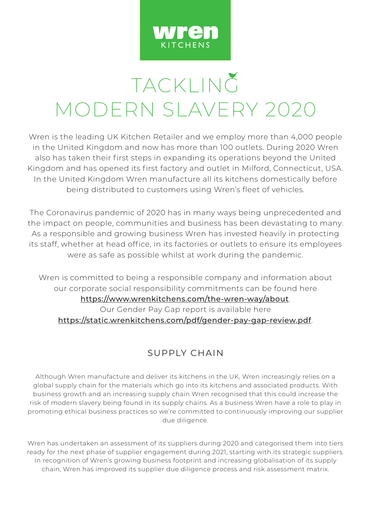

## TACKLING MODERN SLAVERY 2020

Wren is the leading UK Kitchen Retailer and we employ more than 4,000 people in the United Kingdom and now has more than 100 outlets. During 2020 Wren also has taken their first steps in expanding its operations beyond the United Kingdom and has opened its first factory and outlet in Milford, Connecticut, USA. In the United Kingdom Wren manufacture all its kitchens domestically before being distributed to customers using Wren's fleet of vehicles.

The Coronavirus pandemic of 2020 has in many ways being unprecedented and the impact on people, communities and business has been devastating to many. As a responsible and growing business Wren has invested heavily in protecting its staff, whether at head office, in its factories or outlets to ensure its employees were as safe as possible whilst at work during the pandemic.

Wren is committed to being a responsible company and information about our corporate social responsibility commitments can be found here <https://www.wrenkitchens.com/the-wren-way/about>. Our Gender Pay Gap report is available here <https://static.wrenkitchens.com/pdf/gender-pay-gap-review.pdf>.

## SUPPLY CHAIN

Although Wren manufacture and deliver its kitchens in the UK, Wren increasingly relies on a global supply chain for the materials which go into its kitchens and associated products. With business growth and an increasing supply chain Wren recognised that this could increase the risk of modern slavery being found in its supply chains. As a business Wren have a role to play in promoting ethical business practices so we're committed to continuously improving our supplier due diligence.

Wren has undertaken an assessment of its suppliers during 2020 and categorised them into tiers ready for the next phase of supplier engagement during 2021, starting with its strategic suppliers. In recognition of Wren's growing business footprint and increasing globalisation of its supply chain, Wren has improved its supplier due diligence process and risk assessment matrix.